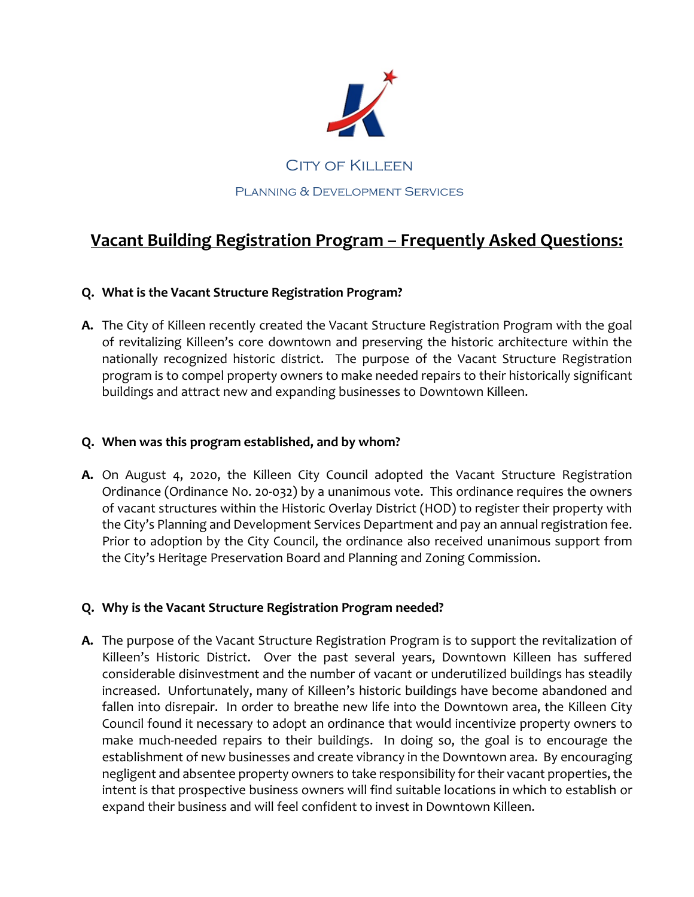

# **Vacant Building Registration Program – Frequently Asked Questions:**

## **Q. What is the Vacant Structure Registration Program?**

**A.** The City of Killeen recently created the Vacant Structure Registration Program with the goal of revitalizing Killeen's core downtown and preserving the historic architecture within the nationally recognized historic district. The purpose of the Vacant Structure Registration program is to compel property owners to make needed repairs to their historically significant buildings and attract new and expanding businesses to Downtown Killeen.

## **Q. When was this program established, and by whom?**

**A.** On August 4, 2020, the Killeen City Council adopted the Vacant Structure Registration Ordinance (Ordinance No. 20-032) by a unanimous vote. This ordinance requires the owners of vacant structures within the Historic Overlay District (HOD) to register their property with the City's Planning and Development Services Department and pay an annual registration fee. Prior to adoption by the City Council, the ordinance also received unanimous support from the City's Heritage Preservation Board and Planning and Zoning Commission.

# **Q. Why is the Vacant Structure Registration Program needed?**

**A.** The purpose of the Vacant Structure Registration Program is to support the revitalization of Killeen's Historic District. Over the past several years, Downtown Killeen has suffered considerable disinvestment and the number of vacant or underutilized buildings has steadily increased. Unfortunately, many of Killeen's historic buildings have become abandoned and fallen into disrepair. In order to breathe new life into the Downtown area, the Killeen City Council found it necessary to adopt an ordinance that would incentivize property owners to make much-needed repairs to their buildings. In doing so, the goal is to encourage the establishment of new businesses and create vibrancy in the Downtown area. By encouraging negligent and absentee property owners to take responsibility for their vacant properties, the intent is that prospective business owners will find suitable locations in which to establish or expand their business and will feel confident to invest in Downtown Killeen.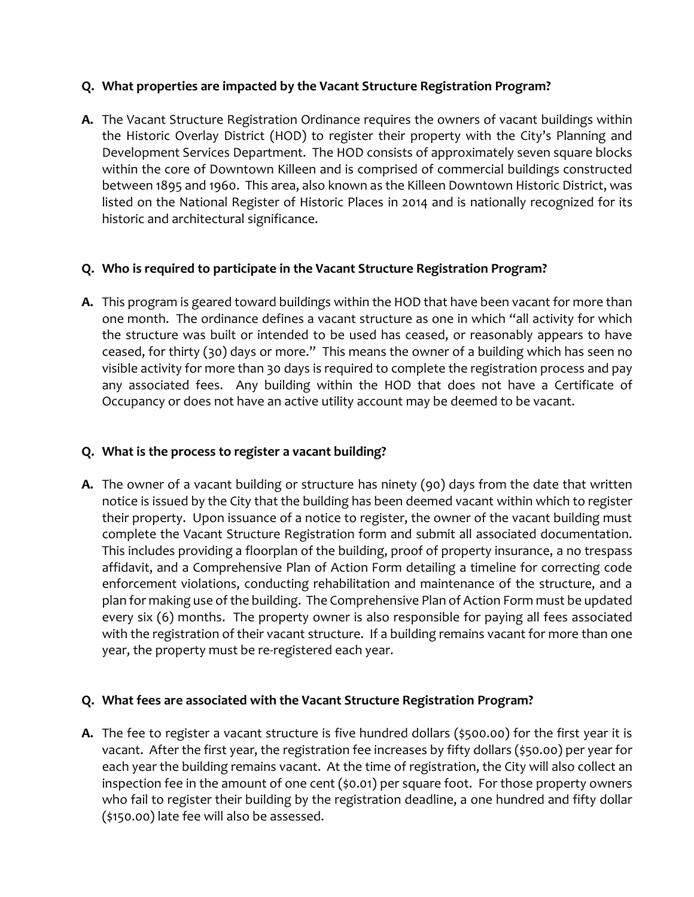## **Q. What properties are impacted by the Vacant Structure Registration Program?**

**A.** The Vacant Structure Registration Ordinance requires the owners of vacant buildings within the Historic Overlay District (HOD) to register their property with the City's Planning and Development Services Department. The HOD consists of approximately seven square blocks within the core of Downtown Killeen and is comprised of commercial buildings constructed between 1895 and 1960. This area, also known as the Killeen Downtown Historic District, was listed on the National Register of Historic Places in 2014 and is nationally recognized for its historic and architectural significance.

### **Q. Who is required to participate in the Vacant Structure Registration Program?**

**A.** This program is geared toward buildings within the HOD that have been vacant for more than one month. The ordinance defines a vacant structure as one in which "all activity for which the structure was built or intended to be used has ceased, or reasonably appears to have ceased, for thirty (30) days or more." This means the owner of a building which has seen no visible activity for more than 30 days is required to complete the registration process and pay any associated fees. Any building within the HOD that does not have a Certificate of Occupancy or does not have an active utility account may be deemed to be vacant.

# **Q. What is the process to register a vacant building?**

**A.** The owner of a vacant building or structure has ninety (90) days from the date that written notice is issued by the City that the building has been deemed vacant within which to register their property. Upon issuance of a notice to register, the owner of the vacant building must complete the Vacant Structure Registration form and submit all associated documentation. This includes providing a floorplan of the building, proof of property insurance, a no trespass affidavit, and a Comprehensive Plan of Action Form detailing a timeline for correcting code enforcement violations, conducting rehabilitation and maintenance of the structure, and a plan for making use of the building. The Comprehensive Plan of Action Form must be updated every six (6) months. The property owner is also responsible for paying all fees associated with the registration of their vacant structure. If a building remains vacant for more than one year, the property must be re-registered each year.

### **Q. What fees are associated with the Vacant Structure Registration Program?**

**A.** The fee to register a vacant structure is five hundred dollars (\$500.00) for the first year it is vacant. After the first year, the registration fee increases by fifty dollars (\$50.00) per year for each year the building remains vacant. At the time of registration, the City will also collect an inspection fee in the amount of one cent (\$0.01) per square foot. For those property owners who fail to register their building by the registration deadline, a one hundred and fifty dollar (\$150.00) late fee will also be assessed.